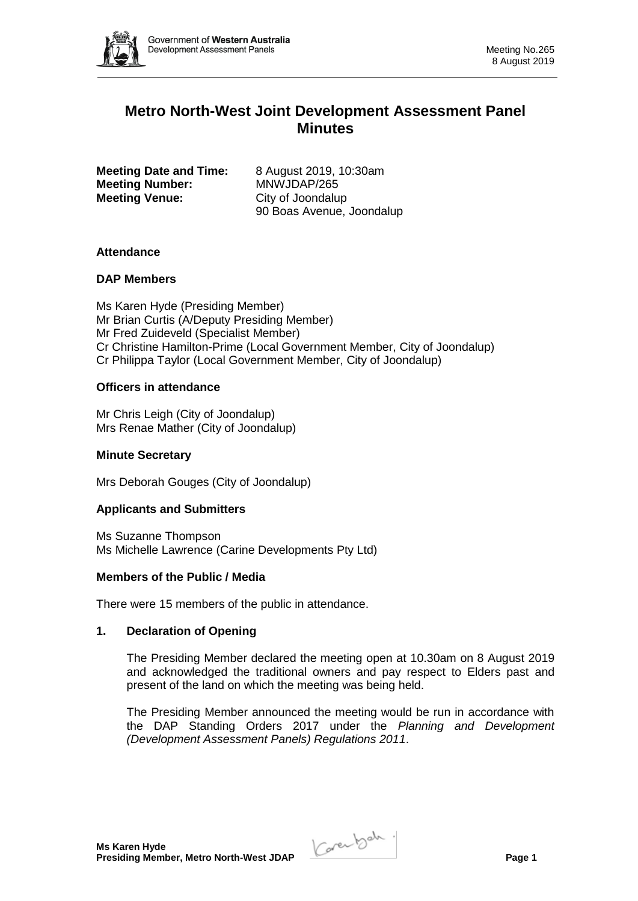

# **Metro North-West Joint Development Assessment Panel Minutes**

**Meeting Date and Time:** 8 August 2019, 10:30am **Meeting Number:** MNWJDAP/265 **Meeting Venue:** City of Joondalup

90 Boas Avenue, Joondalup

## **Attendance**

### **DAP Members**

Ms Karen Hyde (Presiding Member) Mr Brian Curtis (A/Deputy Presiding Member) Mr Fred Zuideveld (Specialist Member) Cr Christine Hamilton-Prime (Local Government Member, City of Joondalup) Cr Philippa Taylor (Local Government Member, City of Joondalup)

### **Officers in attendance**

Mr Chris Leigh (City of Joondalup) Mrs Renae Mather (City of Joondalup)

#### **Minute Secretary**

Mrs Deborah Gouges (City of Joondalup)

## **Applicants and Submitters**

Ms Suzanne Thompson Ms Michelle Lawrence (Carine Developments Pty Ltd)

#### **Members of the Public / Media**

There were 15 members of the public in attendance.

#### **1. Declaration of Opening**

The Presiding Member declared the meeting open at 10.30am on 8 August 2019 and acknowledged the traditional owners and pay respect to Elders past and present of the land on which the meeting was being held.

The Presiding Member announced the meeting would be run in accordance with the DAP Standing Orders 2017 under the *Planning and Development (Development Assessment Panels) Regulations 2011*.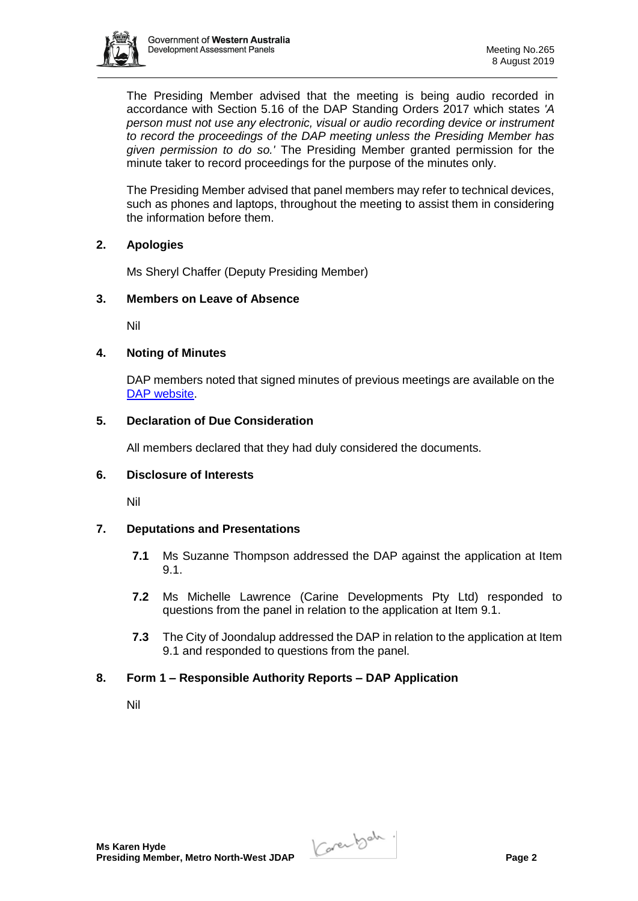

The Presiding Member advised that the meeting is being audio recorded in accordance with Section 5.16 of the DAP Standing Orders 2017 which states *'A person must not use any electronic, visual or audio recording device or instrument to record the proceedings of the DAP meeting unless the Presiding Member has given permission to do so.'* The Presiding Member granted permission for the minute taker to record proceedings for the purpose of the minutes only.

The Presiding Member advised that panel members may refer to technical devices, such as phones and laptops, throughout the meeting to assist them in considering the information before them.

### **2. Apologies**

Ms Sheryl Chaffer (Deputy Presiding Member)

# **3. Members on Leave of Absence**

Nil

### **4. Noting of Minutes**

DAP members noted that signed minutes of previous meetings are available on the [DAP website.](https://www.dplh.wa.gov.au/about/development-assessment-panels/daps-agendas-and-minutes)

# **5. Declaration of Due Consideration**

All members declared that they had duly considered the documents.

### **6. Disclosure of Interests**

Nil

## **7. Deputations and Presentations**

- **7.1** Ms Suzanne Thompson addressed the DAP against the application at Item 9.1.
- **7.2** Ms Michelle Lawrence (Carine Developments Pty Ltd) responded to questions from the panel in relation to the application at Item 9.1.
- **7.3** The City of Joondalup addressed the DAP in relation to the application at Item 9.1 and responded to questions from the panel.

## **8. Form 1 – Responsible Authority Reports – DAP Application**

Nil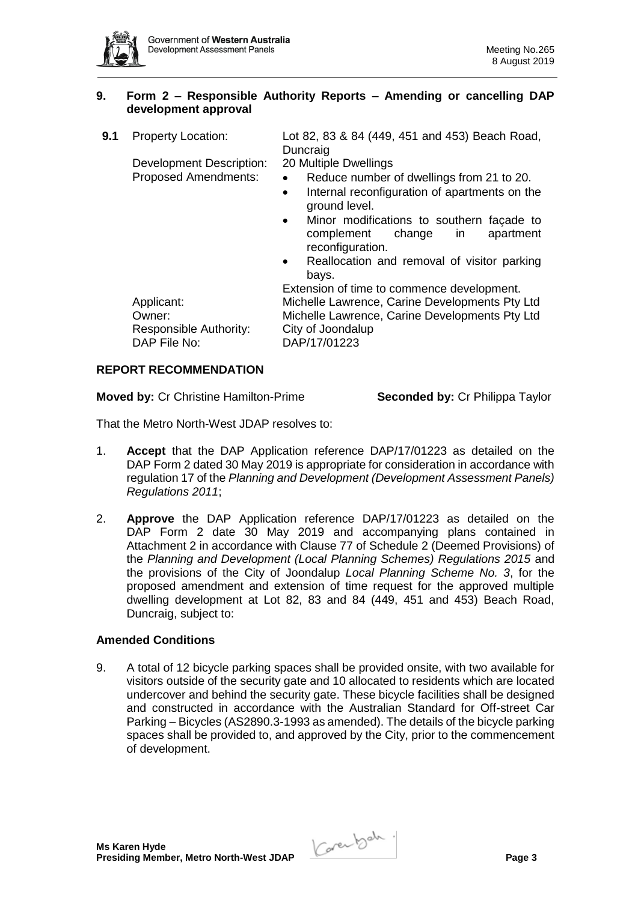

## **9. Form 2 – Responsible Authority Reports – Amending or cancelling DAP development approval**

- **9.1** Property Location: Lot 82, 83 & 84 (449, 451 and 453) Beach Road, Duncraig Development Description: 20 Multiple Dwellings Proposed Amendments: • Reduce number of dwellings from 21 to 20. • Internal reconfiguration of apartments on the ground level.
	- Minor modifications to southern facade to complement change in apartment reconfiguration.
	- Reallocation and removal of visitor parking bays.

Extension of time to commence development. Applicant: Michelle Lawrence, Carine Developments Pty Ltd Owner: Michelle Lawrence, Carine Developments Pty Ltd Responsible Authority: City of Joondalup DAP File No: DAP/17/01223

# **REPORT RECOMMENDATION**

**Moved by:** Cr Christine Hamilton-Prime **Seconded by:** Cr Philippa Taylor

That the Metro North-West JDAP resolves to:

- 1. **Accept** that the DAP Application reference DAP/17/01223 as detailed on the DAP Form 2 dated 30 May 2019 is appropriate for consideration in accordance with regulation 17 of the *Planning and Development (Development Assessment Panels) Regulations 2011*;
- 2. **Approve** the DAP Application reference DAP/17/01223 as detailed on the DAP Form 2 date 30 May 2019 and accompanying plans contained in Attachment 2 in accordance with Clause 77 of Schedule 2 (Deemed Provisions) of the *Planning and Development (Local Planning Schemes) Regulations 2015* and the provisions of the City of Joondalup *Local Planning Scheme No. 3*, for the proposed amendment and extension of time request for the approved multiple dwelling development at Lot 82, 83 and 84 (449, 451 and 453) Beach Road, Duncraig, subject to:

## **Amended Conditions**

9. A total of 12 bicycle parking spaces shall be provided onsite, with two available for visitors outside of the security gate and 10 allocated to residents which are located undercover and behind the security gate. These bicycle facilities shall be designed and constructed in accordance with the Australian Standard for Off-street Car Parking – Bicycles (AS2890.3-1993 as amended). The details of the bicycle parking spaces shall be provided to, and approved by the City, prior to the commencement of development.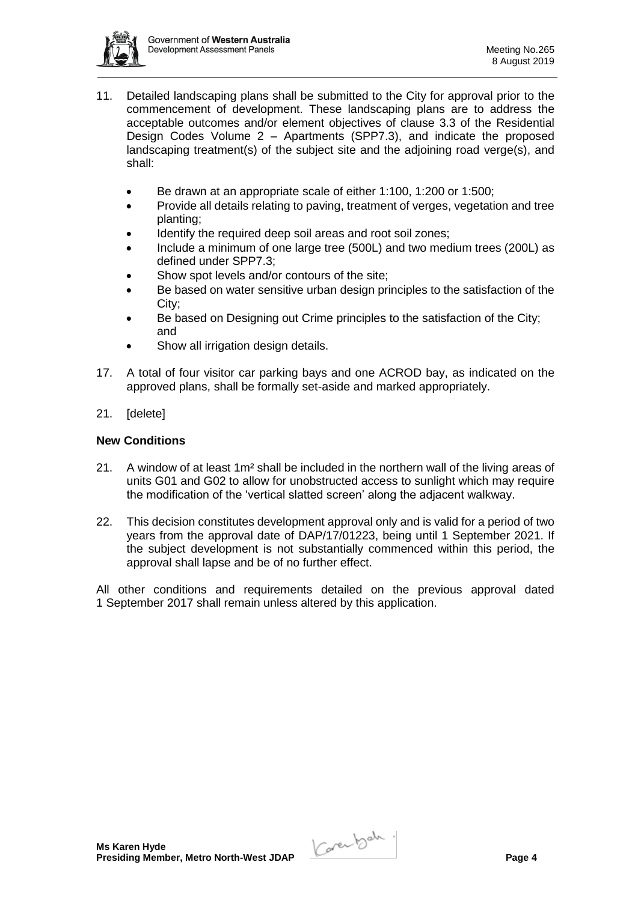

- 11. Detailed landscaping plans shall be submitted to the City for approval prior to the commencement of development. These landscaping plans are to address the acceptable outcomes and/or element objectives of clause 3.3 of the Residential Design Codes Volume 2 – Apartments (SPP7.3), and indicate the proposed landscaping treatment(s) of the subject site and the adjoining road verge(s), and shall:
	- Be drawn at an appropriate scale of either 1:100, 1:200 or 1:500;
	- Provide all details relating to paving, treatment of verges, vegetation and tree planting;
	- Identify the required deep soil areas and root soil zones;
	- Include a minimum of one large tree (500L) and two medium trees (200L) as defined under SPP7.3;
	- Show spot levels and/or contours of the site;
	- Be based on water sensitive urban design principles to the satisfaction of the City;
	- Be based on Designing out Crime principles to the satisfaction of the City; and
	- Show all irrigation design details.
- 17. A total of four visitor car parking bays and one ACROD bay, as indicated on the approved plans, shall be formally set-aside and marked appropriately.
- 21. [delete]

# **New Conditions**

- 21. A window of at least 1m² shall be included in the northern wall of the living areas of units G01 and G02 to allow for unobstructed access to sunlight which may require the modification of the 'vertical slatted screen' along the adjacent walkway.
- 22. This decision constitutes development approval only and is valid for a period of two years from the approval date of DAP/17/01223, being until 1 September 2021. If the subject development is not substantially commenced within this period, the approval shall lapse and be of no further effect.

All other conditions and requirements detailed on the previous approval dated 1 September 2017 shall remain unless altered by this application.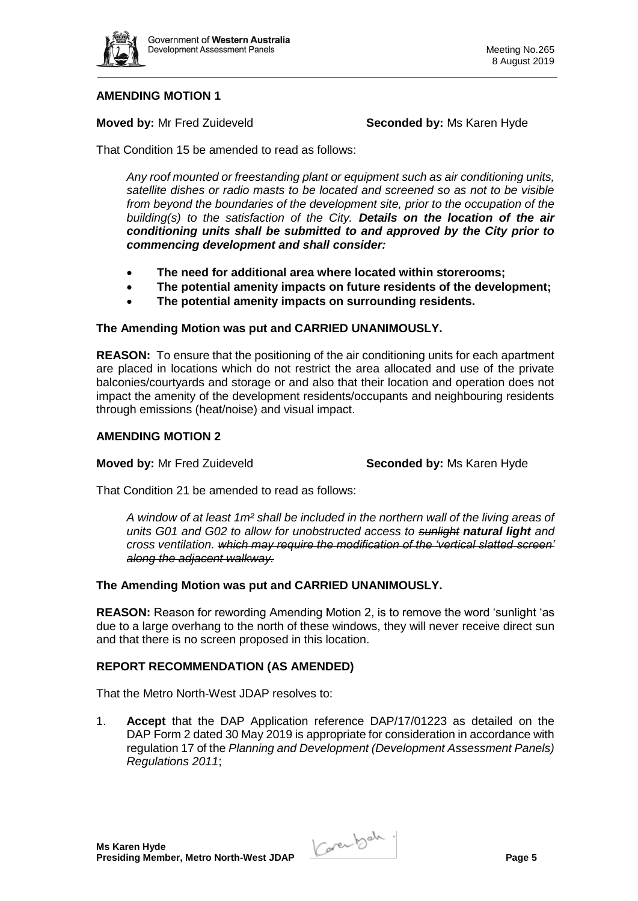

# **AMENDING MOTION 1**

**Moved by:** Mr Fred Zuideveld **Seconded by:** Ms Karen Hyde

That Condition 15 be amended to read as follows:

*Any roof mounted or freestanding plant or equipment such as air conditioning units, satellite dishes or radio masts to be located and screened so as not to be visible from beyond the boundaries of the development site, prior to the occupation of the building(s) to the satisfaction of the City. Details on the location of the air conditioning units shall be submitted to and approved by the City prior to commencing development and shall consider:*

- **The need for additional area where located within storerooms;**
- **The potential amenity impacts on future residents of the development;**
- **The potential amenity impacts on surrounding residents.**

#### **The Amending Motion was put and CARRIED UNANIMOUSLY.**

**REASON:** To ensure that the positioning of the air conditioning units for each apartment are placed in locations which do not restrict the area allocated and use of the private balconies/courtyards and storage or and also that their location and operation does not impact the amenity of the development residents/occupants and neighbouring residents through emissions (heat/noise) and visual impact.

#### **AMENDING MOTION 2**

**Moved by:** Mr Fred Zuideveld **Seconded by:** Ms Karen Hyde

That Condition 21 be amended to read as follows:

*A window of at least 1m² shall be included in the northern wall of the living areas of units G01 and G02 to allow for unobstructed access to sunlight natural light and cross ventilation. which may require the modification of the 'vertical slatted screen' along the adjacent walkway.* 

#### **The Amending Motion was put and CARRIED UNANIMOUSLY.**

**REASON:** Reason for rewording Amending Motion 2, is to remove the word 'sunlight 'as due to a large overhang to the north of these windows, they will never receive direct sun and that there is no screen proposed in this location.

## **REPORT RECOMMENDATION (AS AMENDED)**

That the Metro North-West JDAP resolves to:

1. **Accept** that the DAP Application reference DAP/17/01223 as detailed on the DAP Form 2 dated 30 May 2019 is appropriate for consideration in accordance with regulation 17 of the *Planning and Development (Development Assessment Panels) Regulations 2011*;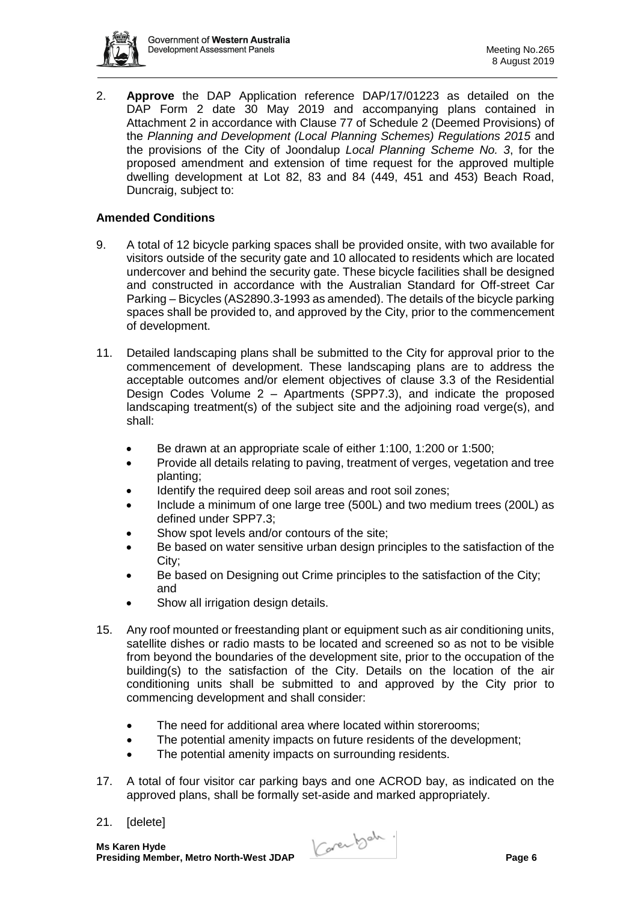

2. **Approve** the DAP Application reference DAP/17/01223 as detailed on the DAP Form 2 date 30 May 2019 and accompanying plans contained in Attachment 2 in accordance with Clause 77 of Schedule 2 (Deemed Provisions) of the *Planning and Development (Local Planning Schemes) Regulations 2015* and the provisions of the City of Joondalup *Local Planning Scheme No. 3*, for the proposed amendment and extension of time request for the approved multiple dwelling development at Lot 82, 83 and 84 (449, 451 and 453) Beach Road, Duncraig, subject to:

# **Amended Conditions**

- 9. A total of 12 bicycle parking spaces shall be provided onsite, with two available for visitors outside of the security gate and 10 allocated to residents which are located undercover and behind the security gate. These bicycle facilities shall be designed and constructed in accordance with the Australian Standard for Off-street Car Parking – Bicycles (AS2890.3-1993 as amended). The details of the bicycle parking spaces shall be provided to, and approved by the City, prior to the commencement of development.
- 11. Detailed landscaping plans shall be submitted to the City for approval prior to the commencement of development. These landscaping plans are to address the acceptable outcomes and/or element objectives of clause 3.3 of the Residential Design Codes Volume 2 – Apartments (SPP7.3), and indicate the proposed landscaping treatment(s) of the subject site and the adjoining road verge(s), and shall:
	- Be drawn at an appropriate scale of either 1:100, 1:200 or 1:500;
	- Provide all details relating to paving, treatment of verges, vegetation and tree planting;
	- Identify the required deep soil areas and root soil zones;
	- Include a minimum of one large tree (500L) and two medium trees (200L) as defined under SPP7.3;
	- Show spot levels and/or contours of the site;
	- Be based on water sensitive urban design principles to the satisfaction of the City;
	- Be based on Designing out Crime principles to the satisfaction of the City; and
	- Show all irrigation design details.
- 15. Any roof mounted or freestanding plant or equipment such as air conditioning units, satellite dishes or radio masts to be located and screened so as not to be visible from beyond the boundaries of the development site, prior to the occupation of the building(s) to the satisfaction of the City. Details on the location of the air conditioning units shall be submitted to and approved by the City prior to commencing development and shall consider:
	- The need for additional area where located within storerooms;
	- The potential amenity impacts on future residents of the development;
	- The potential amenity impacts on surrounding residents.
- 17. A total of four visitor car parking bays and one ACROD bay, as indicated on the approved plans, shall be formally set-aside and marked appropriately.
- 21. [delete]